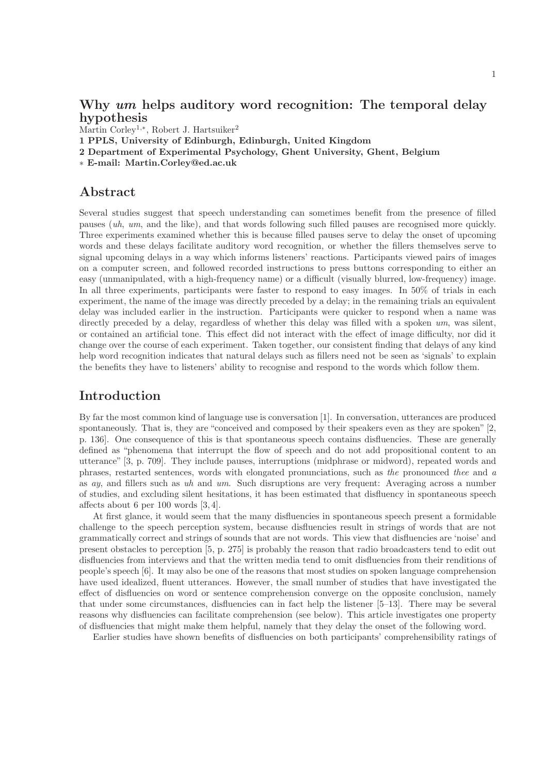# Why um helps auditory word recognition: The temporal delay hypothesis

Martin Corley<sup>1,∗</sup>, Robert J. Hartsuiker<sup>2</sup>

1 PPLS, University of Edinburgh, Edinburgh, United Kingdom

2 Department of Experimental Psychology, Ghent University, Ghent, Belgium

∗ E-mail: Martin.Corley@ed.ac.uk

## Abstract

Several studies suggest that speech understanding can sometimes benefit from the presence of filled pauses (uh, um, and the like), and that words following such filled pauses are recognised more quickly. Three experiments examined whether this is because filled pauses serve to delay the onset of upcoming words and these delays facilitate auditory word recognition, or whether the fillers themselves serve to signal upcoming delays in a way which informs listeners' reactions. Participants viewed pairs of images on a computer screen, and followed recorded instructions to press buttons corresponding to either an easy (unmanipulated, with a high-frequency name) or a difficult (visually blurred, low-frequency) image. In all three experiments, participants were faster to respond to easy images. In 50% of trials in each experiment, the name of the image was directly preceded by a delay; in the remaining trials an equivalent delay was included earlier in the instruction. Participants were quicker to respond when a name was directly preceded by a delay, regardless of whether this delay was filled with a spoken um, was silent, or contained an artificial tone. This effect did not interact with the effect of image difficulty, nor did it change over the course of each experiment. Taken together, our consistent finding that delays of any kind help word recognition indicates that natural delays such as fillers need not be seen as 'signals' to explain the benefits they have to listeners' ability to recognise and respond to the words which follow them.

# Introduction

By far the most common kind of language use is conversation [1]. In conversation, utterances are produced spontaneously. That is, they are "conceived and composed by their speakers even as they are spoken" [2, p. 136]. One consequence of this is that spontaneous speech contains disfluencies. These are generally defined as "phenomena that interrupt the flow of speech and do not add propositional content to an utterance" [3, p. 709]. They include pauses, interruptions (midphrase or midword), repeated words and phrases, restarted sentences, words with elongated pronunciations, such as the pronounced thee and a as ay, and fillers such as uh and um. Such disruptions are very frequent: Averaging across a number of studies, and excluding silent hesitations, it has been estimated that disfluency in spontaneous speech affects about 6 per 100 words [3, 4].

At first glance, it would seem that the many disfluencies in spontaneous speech present a formidable challenge to the speech perception system, because disfluencies result in strings of words that are not grammatically correct and strings of sounds that are not words. This view that disfluencies are 'noise' and present obstacles to perception [5, p. 275] is probably the reason that radio broadcasters tend to edit out disfluencies from interviews and that the written media tend to omit disfluencies from their renditions of people's speech [6]. It may also be one of the reasons that most studies on spoken language comprehension have used idealized, fluent utterances. However, the small number of studies that have investigated the effect of disfluencies on word or sentence comprehension converge on the opposite conclusion, namely that under some circumstances, disfluencies can in fact help the listener [5–13]. There may be several reasons why disfluencies can facilitate comprehension (see below). This article investigates one property of disfluencies that might make them helpful, namely that they delay the onset of the following word.

Earlier studies have shown benefits of disfluencies on both participants' comprehensibility ratings of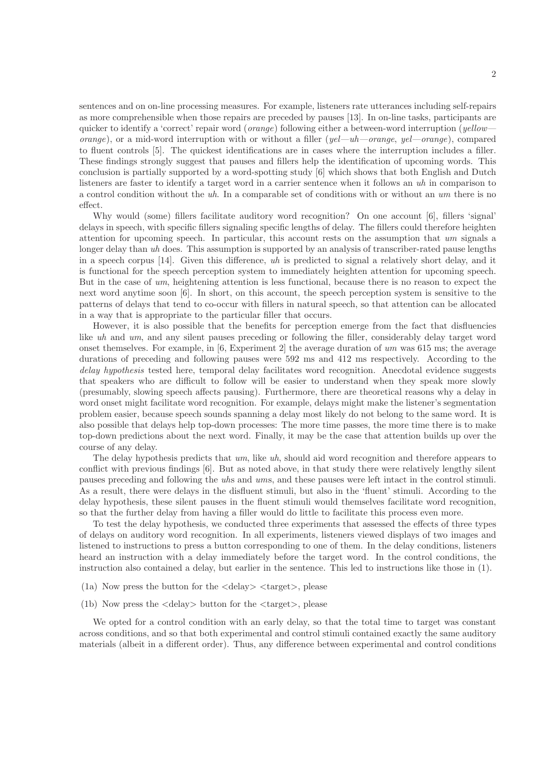sentences and on on-line processing measures. For example, listeners rate utterances including self-repairs as more comprehensible when those repairs are preceded by pauses [13]. In on-line tasks, participants are quicker to identify a 'correct' repair word (*orange*) following either a between-word interruption (*yellow orange*), or a mid-word interruption with or without a filler (yel—uh—orange, yel—orange), compared to fluent controls [5]. The quickest identifications are in cases where the interruption includes a filler. These findings strongly suggest that pauses and fillers help the identification of upcoming words. This conclusion is partially supported by a word-spotting study [6] which shows that both English and Dutch listeners are faster to identify a target word in a carrier sentence when it follows an uh in comparison to a control condition without the uh. In a comparable set of conditions with or without an um there is no effect.

Why would (some) fillers facilitate auditory word recognition? On one account [6], fillers 'signal' delays in speech, with specific fillers signaling specific lengths of delay. The fillers could therefore heighten attention for upcoming speech. In particular, this account rests on the assumption that um signals a longer delay than uh does. This assumption is supported by an analysis of transcriber-rated pause lengths in a speech corpus [14]. Given this difference, uh is predicted to signal a relatively short delay, and it is functional for the speech perception system to immediately heighten attention for upcoming speech. But in the case of um, heightening attention is less functional, because there is no reason to expect the next word anytime soon [6]. In short, on this account, the speech perception system is sensitive to the patterns of delays that tend to co-occur with fillers in natural speech, so that attention can be allocated in a way that is appropriate to the particular filler that occurs.

However, it is also possible that the benefits for perception emerge from the fact that disfluencies like uh and um, and any silent pauses preceding or following the filler, considerably delay target word onset themselves. For example, in [6, Experiment 2] the average duration of  $um$  was 615 ms; the average durations of preceding and following pauses were 592 ms and 412 ms respectively. According to the delay hypothesis tested here, temporal delay facilitates word recognition. Anecdotal evidence suggests that speakers who are difficult to follow will be easier to understand when they speak more slowly (presumably, slowing speech affects pausing). Furthermore, there are theoretical reasons why a delay in word onset might facilitate word recognition. For example, delays might make the listener's segmentation problem easier, because speech sounds spanning a delay most likely do not belong to the same word. It is also possible that delays help top-down processes: The more time passes, the more time there is to make top-down predictions about the next word. Finally, it may be the case that attention builds up over the course of any delay.

The delay hypothesis predicts that um, like uh, should aid word recognition and therefore appears to conflict with previous findings [6]. But as noted above, in that study there were relatively lengthy silent pauses preceding and following the uhs and ums, and these pauses were left intact in the control stimuli. As a result, there were delays in the disfluent stimuli, but also in the 'fluent' stimuli. According to the delay hypothesis, these silent pauses in the fluent stimuli would themselves facilitate word recognition, so that the further delay from having a filler would do little to facilitate this process even more.

To test the delay hypothesis, we conducted three experiments that assessed the effects of three types of delays on auditory word recognition. In all experiments, listeners viewed displays of two images and listened to instructions to press a button corresponding to one of them. In the delay conditions, listeners heard an instruction with a delay immediately before the target word. In the control conditions, the instruction also contained a delay, but earlier in the sentence. This led to instructions like those in (1).

- (1a) Now press the button for the <delay> <target>, please
- (1b) Now press the <delay> button for the <target>, please

We opted for a control condition with an early delay, so that the total time to target was constant across conditions, and so that both experimental and control stimuli contained exactly the same auditory materials (albeit in a different order). Thus, any difference between experimental and control conditions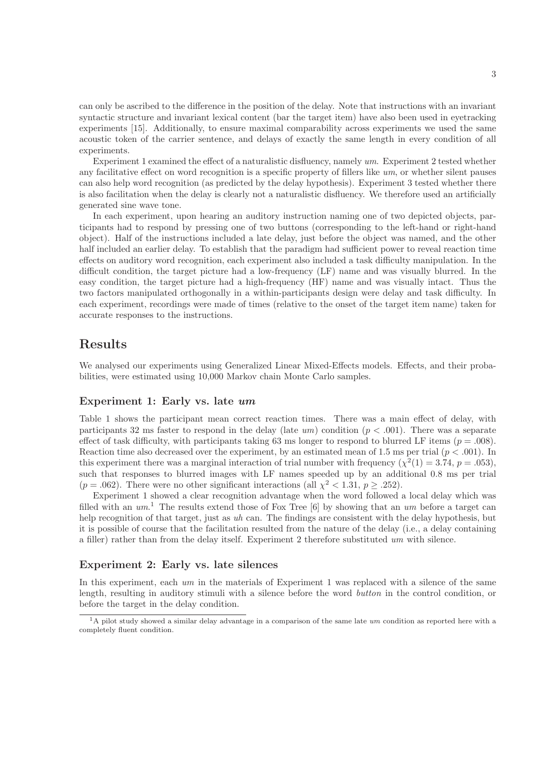can only be ascribed to the difference in the position of the delay. Note that instructions with an invariant syntactic structure and invariant lexical content (bar the target item) have also been used in eyetracking experiments [15]. Additionally, to ensure maximal comparability across experiments we used the same acoustic token of the carrier sentence, and delays of exactly the same length in every condition of all experiments.

Experiment 1 examined the effect of a naturalistic disfluency, namely um. Experiment 2 tested whether any facilitative effect on word recognition is a specific property of fillers like um, or whether silent pauses can also help word recognition (as predicted by the delay hypothesis). Experiment 3 tested whether there is also facilitation when the delay is clearly not a naturalistic disfluency. We therefore used an artificially generated sine wave tone.

In each experiment, upon hearing an auditory instruction naming one of two depicted objects, participants had to respond by pressing one of two buttons (corresponding to the left-hand or right-hand object). Half of the instructions included a late delay, just before the object was named, and the other half included an earlier delay. To establish that the paradigm had sufficient power to reveal reaction time effects on auditory word recognition, each experiment also included a task difficulty manipulation. In the difficult condition, the target picture had a low-frequency (LF) name and was visually blurred. In the easy condition, the target picture had a high-frequency (HF) name and was visually intact. Thus the two factors manipulated orthogonally in a within-participants design were delay and task difficulty. In each experiment, recordings were made of times (relative to the onset of the target item name) taken for accurate responses to the instructions.

## Results

We analysed our experiments using Generalized Linear Mixed-Effects models. Effects, and their probabilities, were estimated using 10,000 Markov chain Monte Carlo samples.

#### Experiment 1: Early vs. late um

Table 1 shows the participant mean correct reaction times. There was a main effect of delay, with participants 32 ms faster to respond in the delay (late  $um$ ) condition ( $p < .001$ ). There was a separate effect of task difficulty, with participants taking 63 ms longer to respond to blurred LF items ( $p = .008$ ). Reaction time also decreased over the experiment, by an estimated mean of 1.5 ms per trial  $(p < .001)$ . In this experiment there was a marginal interaction of trial number with frequency  $(\chi^2(1) = 3.74, p = .053)$ , such that responses to blurred images with LF names speeded up by an additional 0.8 ms per trial ( $p = .062$ ). There were no other significant interactions (all  $\chi^2$  < 1.31,  $p \geq .252$ ).

Experiment 1 showed a clear recognition advantage when the word followed a local delay which was filled with an  $um$ <sup>1</sup>. The results extend those of Fox Tree [6] by showing that an  $um$  before a target can help recognition of that target, just as uh can. The findings are consistent with the delay hypothesis, but it is possible of course that the facilitation resulted from the nature of the delay (i.e., a delay containing a filler) rather than from the delay itself. Experiment 2 therefore substituted um with silence.

#### Experiment 2: Early vs. late silences

In this experiment, each um in the materials of Experiment 1 was replaced with a silence of the same length, resulting in auditory stimuli with a silence before the word button in the control condition, or before the target in the delay condition.

 $1A$  pilot study showed a similar delay advantage in a comparison of the same late um condition as reported here with a completely fluent condition.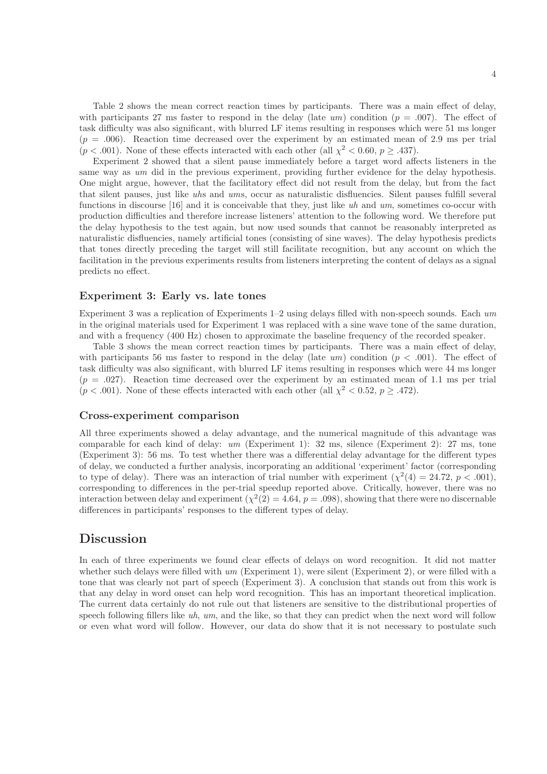Table 2 shows the mean correct reaction times by participants. There was a main effect of delay, with participants 27 ms faster to respond in the delay (late um) condition ( $p = .007$ ). The effect of task difficulty was also significant, with blurred LF items resulting in responses which were 51 ms longer  $(p = .006)$ . Reaction time decreased over the experiment by an estimated mean of 2.9 ms per trial  $(p < .001)$ . None of these effects interacted with each other (all  $\chi^2 < 0.60, p \ge .437$ ).

Experiment 2 showed that a silent pause immediately before a target word affects listeners in the same way as um did in the previous experiment, providing further evidence for the delay hypothesis. One might argue, however, that the facilitatory effect did not result from the delay, but from the fact that silent pauses, just like uhs and ums, occur as naturalistic disfluencies. Silent pauses fulfill several functions in discourse  $[16]$  and it is conceivable that they, just like uh and um, sometimes co-occur with production difficulties and therefore increase listeners' attention to the following word. We therefore put the delay hypothesis to the test again, but now used sounds that cannot be reasonably interpreted as naturalistic disfluencies, namely artificial tones (consisting of sine waves). The delay hypothesis predicts that tones directly preceding the target will still facilitate recognition, but any account on which the facilitation in the previous experiments results from listeners interpreting the content of delays as a signal predicts no effect.

#### Experiment 3: Early vs. late tones

Experiment 3 was a replication of Experiments 1–2 using delays filled with non-speech sounds. Each um in the original materials used for Experiment 1 was replaced with a sine wave tone of the same duration, and with a frequency (400 Hz) chosen to approximate the baseline frequency of the recorded speaker.

Table 3 shows the mean correct reaction times by participants. There was a main effect of delay, with participants 56 ms faster to respond in the delay (late um) condition ( $p < .001$ ). The effect of task difficulty was also significant, with blurred LF items resulting in responses which were 44 ms longer  $(p = .027)$ . Reaction time decreased over the experiment by an estimated mean of 1.1 ms per trial  $(p < .001)$ . None of these effects interacted with each other (all  $\chi^2 < 0.52$ ,  $p \ge .472$ ).

#### Cross-experiment comparison

All three experiments showed a delay advantage, and the numerical magnitude of this advantage was comparable for each kind of delay: um (Experiment 1): 32 ms, silence (Experiment 2): 27 ms, tone (Experiment 3): 56 ms. To test whether there was a differential delay advantage for the different types of delay, we conducted a further analysis, incorporating an additional 'experiment' factor (corresponding to type of delay). There was an interaction of trial number with experiment  $(\chi^2(4) = 24.72, p < .001)$ , corresponding to differences in the per-trial speedup reported above. Critically, however, there was no interaction between delay and experiment  $(\chi^2(2) = 4.64, p = .098)$ , showing that there were no discernable differences in participants' responses to the different types of delay.

## Discussion

In each of three experiments we found clear effects of delays on word recognition. It did not matter whether such delays were filled with  $um$  (Experiment 1), were silent (Experiment 2), or were filled with a tone that was clearly not part of speech (Experiment 3). A conclusion that stands out from this work is that any delay in word onset can help word recognition. This has an important theoretical implication. The current data certainly do not rule out that listeners are sensitive to the distributional properties of speech following fillers like uh, um, and the like, so that they can predict when the next word will follow or even what word will follow. However, our data do show that it is not necessary to postulate such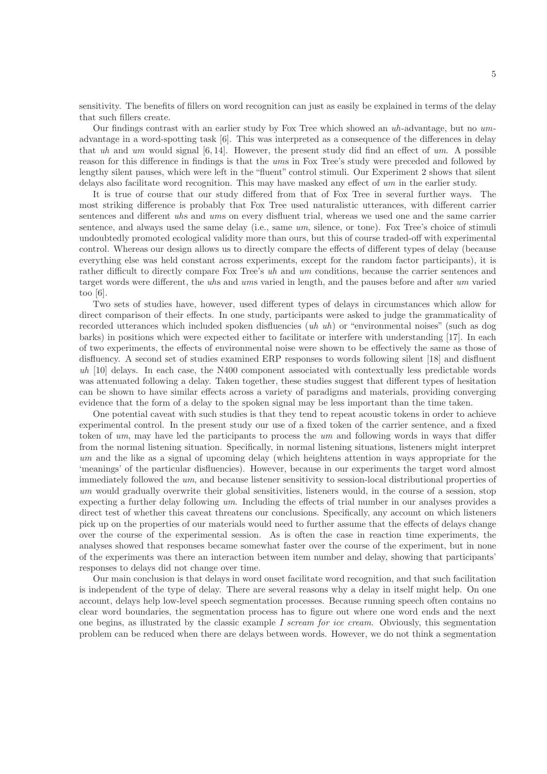sensitivity. The benefits of fillers on word recognition can just as easily be explained in terms of the delay that such fillers create.

Our findings contrast with an earlier study by Fox Tree which showed an uh-advantage, but no umadvantage in a word-spotting task [6]. This was interpreted as a consequence of the differences in delay that uh and um would signal  $[6, 14]$ . However, the present study did find an effect of um. A possible reason for this difference in findings is that the ums in Fox Tree's study were preceded and followed by lengthy silent pauses, which were left in the "fluent" control stimuli. Our Experiment 2 shows that silent delays also facilitate word recognition. This may have masked any effect of um in the earlier study.

It is true of course that our study differed from that of Fox Tree in several further ways. The most striking difference is probably that Fox Tree used naturalistic utterances, with different carrier sentences and different uhs and ums on every disfluent trial, whereas we used one and the same carrier sentence, and always used the same delay (i.e., same um, silence, or tone). Fox Tree's choice of stimuli undoubtedly promoted ecological validity more than ours, but this of course traded-off with experimental control. Whereas our design allows us to directly compare the effects of different types of delay (because everything else was held constant across experiments, except for the random factor participants), it is rather difficult to directly compare Fox Tree's uh and um conditions, because the carrier sentences and target words were different, the uhs and ums varied in length, and the pauses before and after um varied too  $[6]$ .

Two sets of studies have, however, used different types of delays in circumstances which allow for direct comparison of their effects. In one study, participants were asked to judge the grammaticality of recorded utterances which included spoken disfluencies (uh uh) or "environmental noises" (such as dog barks) in positions which were expected either to facilitate or interfere with understanding [17]. In each of two experiments, the effects of environmental noise were shown to be effectively the same as those of disfluency. A second set of studies examined ERP responses to words following silent [18] and disfluent uh [10] delays. In each case, the N400 component associated with contextually less predictable words was attenuated following a delay. Taken together, these studies suggest that different types of hesitation can be shown to have similar effects across a variety of paradigms and materials, providing converging evidence that the form of a delay to the spoken signal may be less important than the time taken.

One potential caveat with such studies is that they tend to repeat acoustic tokens in order to achieve experimental control. In the present study our use of a fixed token of the carrier sentence, and a fixed token of um, may have led the participants to process the um and following words in ways that differ from the normal listening situation. Specifically, in normal listening situations, listeners might interpret um and the like as a signal of upcoming delay (which heightens attention in ways appropriate for the 'meanings' of the particular disfluencies). However, because in our experiments the target word almost immediately followed the um, and because listener sensitivity to session-local distributional properties of um would gradually overwrite their global sensitivities, listeners would, in the course of a session, stop expecting a further delay following um. Including the effects of trial number in our analyses provides a direct test of whether this caveat threatens our conclusions. Specifically, any account on which listeners pick up on the properties of our materials would need to further assume that the effects of delays change over the course of the experimental session. As is often the case in reaction time experiments, the analyses showed that responses became somewhat faster over the course of the experiment, but in none of the experiments was there an interaction between item number and delay, showing that participants' responses to delays did not change over time.

Our main conclusion is that delays in word onset facilitate word recognition, and that such facilitation is independent of the type of delay. There are several reasons why a delay in itself might help. On one account, delays help low-level speech segmentation processes. Because running speech often contains no clear word boundaries, the segmentation process has to figure out where one word ends and the next one begins, as illustrated by the classic example I scream for ice cream. Obviously, this segmentation problem can be reduced when there are delays between words. However, we do not think a segmentation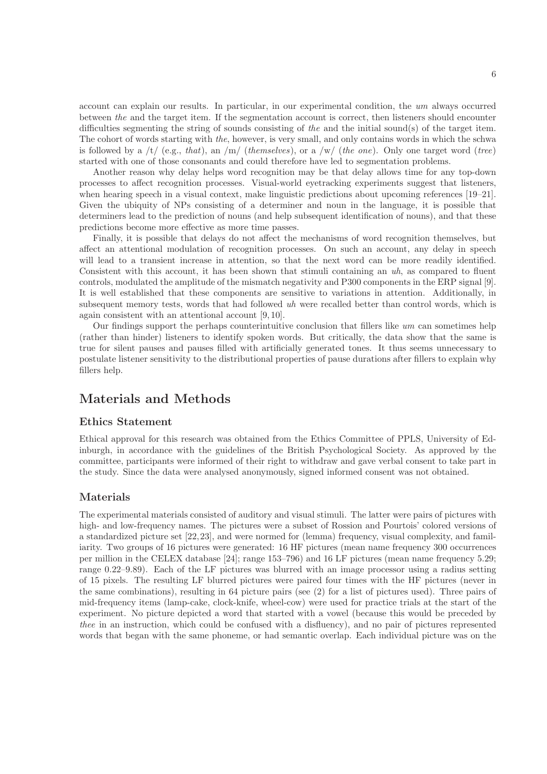account can explain our results. In particular, in our experimental condition, the um always occurred between the and the target item. If the segmentation account is correct, then listeners should encounter difficulties segmenting the string of sounds consisting of the and the initial sound(s) of the target item. The cohort of words starting with the, however, is very small, and only contains words in which the schwa is followed by a  $/t/(e.g., that)$ , an  $/m/(themselves)$ , or a  $/w/(the one)$ . Only one target word (tree) started with one of those consonants and could therefore have led to segmentation problems.

Another reason why delay helps word recognition may be that delay allows time for any top-down processes to affect recognition processes. Visual-world eyetracking experiments suggest that listeners, when hearing speech in a visual context, make linguistic predictions about upcoming references [19–21]. Given the ubiquity of NPs consisting of a determiner and noun in the language, it is possible that determiners lead to the prediction of nouns (and help subsequent identification of nouns), and that these predictions become more effective as more time passes.

Finally, it is possible that delays do not affect the mechanisms of word recognition themselves, but affect an attentional modulation of recognition processes. On such an account, any delay in speech will lead to a transient increase in attention, so that the next word can be more readily identified. Consistent with this account, it has been shown that stimuli containing an uh, as compared to fluent controls, modulated the amplitude of the mismatch negativity and P300 components in the ERP signal [9]. It is well established that these components are sensitive to variations in attention. Additionally, in subsequent memory tests, words that had followed uh were recalled better than control words, which is again consistent with an attentional account [9, 10].

Our findings support the perhaps counterintuitive conclusion that fillers like  $um$  can sometimes help (rather than hinder) listeners to identify spoken words. But critically, the data show that the same is true for silent pauses and pauses filled with artificially generated tones. It thus seems unnecessary to postulate listener sensitivity to the distributional properties of pause durations after fillers to explain why fillers help.

# Materials and Methods

### Ethics Statement

Ethical approval for this research was obtained from the Ethics Committee of PPLS, University of Edinburgh, in accordance with the guidelines of the British Psychological Society. As approved by the committee, participants were informed of their right to withdraw and gave verbal consent to take part in the study. Since the data were analysed anonymously, signed informed consent was not obtained.

### Materials

The experimental materials consisted of auditory and visual stimuli. The latter were pairs of pictures with high- and low-frequency names. The pictures were a subset of Rossion and Pourtois' colored versions of a standardized picture set [22, 23], and were normed for (lemma) frequency, visual complexity, and familiarity. Two groups of 16 pictures were generated: 16 HF pictures (mean name frequency 300 occurrences per million in the CELEX database [24]; range 153–796) and 16 LF pictures (mean name frequency 5.29; range 0.22–9.89). Each of the LF pictures was blurred with an image processor using a radius setting of 15 pixels. The resulting LF blurred pictures were paired four times with the HF pictures (never in the same combinations), resulting in 64 picture pairs (see (2) for a list of pictures used). Three pairs of mid-frequency items (lamp-cake, clock-knife, wheel-cow) were used for practice trials at the start of the experiment. No picture depicted a word that started with a vowel (because this would be preceded by thee in an instruction, which could be confused with a disfluency), and no pair of pictures represented words that began with the same phoneme, or had semantic overlap. Each individual picture was on the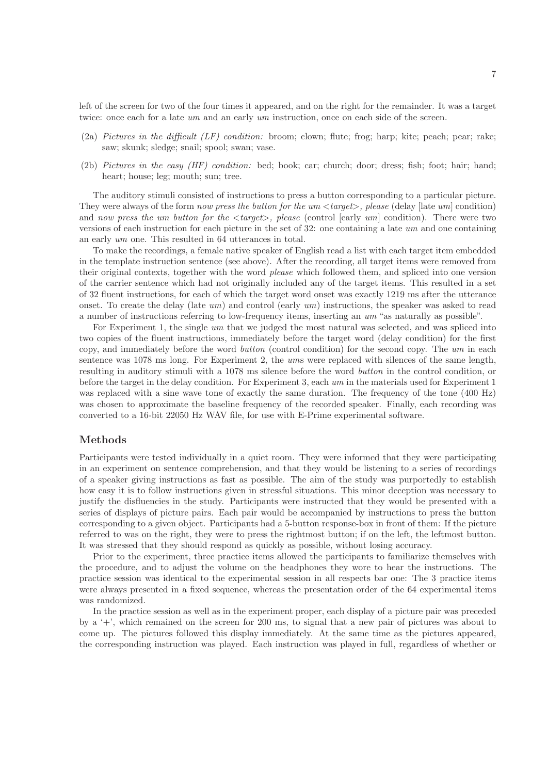left of the screen for two of the four times it appeared, and on the right for the remainder. It was a target twice: once each for a late um and an early um instruction, once on each side of the screen.

- (2a) Pictures in the difficult (LF) condition: broom; clown; flute; frog; harp; kite; peach; pear; rake; saw; skunk; sledge; snail; spool; swan; vase.
- (2b) Pictures in the easy (HF) condition: bed; book; car; church; door; dress; fish; foot; hair; hand; heart; house; leg; mouth; sun; tree.

The auditory stimuli consisted of instructions to press a button corresponding to a particular picture. They were always of the form now press the button for the  $um < target>$ , please (delay [late um] condition) and now press the um button for the  $\langle target \rangle$ , please (control [early um] condition). There were two versions of each instruction for each picture in the set of 32: one containing a late um and one containing an early um one. This resulted in 64 utterances in total.

To make the recordings, a female native speaker of English read a list with each target item embedded in the template instruction sentence (see above). After the recording, all target items were removed from their original contexts, together with the word please which followed them, and spliced into one version of the carrier sentence which had not originally included any of the target items. This resulted in a set of 32 fluent instructions, for each of which the target word onset was exactly 1219 ms after the utterance onset. To create the delay (late um) and control (early um) instructions, the speaker was asked to read a number of instructions referring to low-frequency items, inserting an um "as naturally as possible".

For Experiment 1, the single um that we judged the most natural was selected, and was spliced into two copies of the fluent instructions, immediately before the target word (delay condition) for the first copy, and immediately before the word *button* (control condition) for the second copy. The um in each sentence was 1078 ms long. For Experiment 2, the ums were replaced with silences of the same length, resulting in auditory stimuli with a 1078 ms silence before the word button in the control condition, or before the target in the delay condition. For Experiment 3, each um in the materials used for Experiment 1 was replaced with a sine wave tone of exactly the same duration. The frequency of the tone (400 Hz) was chosen to approximate the baseline frequency of the recorded speaker. Finally, each recording was converted to a 16-bit 22050 Hz WAV file, for use with E-Prime experimental software.

#### Methods

Participants were tested individually in a quiet room. They were informed that they were participating in an experiment on sentence comprehension, and that they would be listening to a series of recordings of a speaker giving instructions as fast as possible. The aim of the study was purportedly to establish how easy it is to follow instructions given in stressful situations. This minor deception was necessary to justify the disfluencies in the study. Participants were instructed that they would be presented with a series of displays of picture pairs. Each pair would be accompanied by instructions to press the button corresponding to a given object. Participants had a 5-button response-box in front of them: If the picture referred to was on the right, they were to press the rightmost button; if on the left, the leftmost button. It was stressed that they should respond as quickly as possible, without losing accuracy.

Prior to the experiment, three practice items allowed the participants to familiarize themselves with the procedure, and to adjust the volume on the headphones they wore to hear the instructions. The practice session was identical to the experimental session in all respects bar one: The 3 practice items were always presented in a fixed sequence, whereas the presentation order of the 64 experimental items was randomized.

In the practice session as well as in the experiment proper, each display of a picture pair was preceded by a '+', which remained on the screen for 200 ms, to signal that a new pair of pictures was about to come up. The pictures followed this display immediately. At the same time as the pictures appeared, the corresponding instruction was played. Each instruction was played in full, regardless of whether or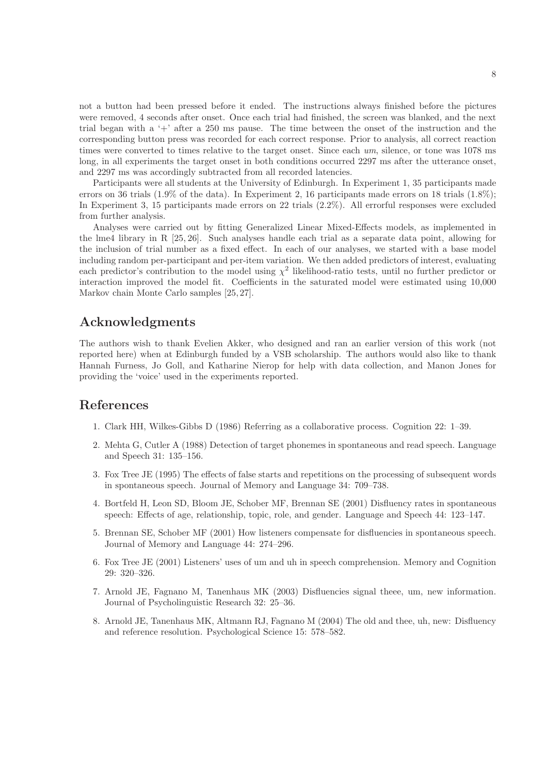not a button had been pressed before it ended. The instructions always finished before the pictures were removed, 4 seconds after onset. Once each trial had finished, the screen was blanked, and the next trial began with a '+' after a 250 ms pause. The time between the onset of the instruction and the corresponding button press was recorded for each correct response. Prior to analysis, all correct reaction times were converted to times relative to the target onset. Since each um, silence, or tone was 1078 ms long, in all experiments the target onset in both conditions occurred 2297 ms after the utterance onset, and 2297 ms was accordingly subtracted from all recorded latencies.

Participants were all students at the University of Edinburgh. In Experiment 1, 35 participants made errors on 36 trials (1.9% of the data). In Experiment 2, 16 participants made errors on 18 trials (1.8%); In Experiment 3, 15 participants made errors on 22 trials (2.2%). All errorful responses were excluded from further analysis.

Analyses were carried out by fitting Generalized Linear Mixed-Effects models, as implemented in the lme4 library in R [25, 26]. Such analyses handle each trial as a separate data point, allowing for the inclusion of trial number as a fixed effect. In each of our analyses, we started with a base model including random per-participant and per-item variation. We then added predictors of interest, evaluating each predictor's contribution to the model using  $\chi^2$  likelihood-ratio tests, until no further predictor or interaction improved the model fit. Coefficients in the saturated model were estimated using 10,000 Markov chain Monte Carlo samples [25, 27].

# Acknowledgments

The authors wish to thank Evelien Akker, who designed and ran an earlier version of this work (not reported here) when at Edinburgh funded by a VSB scholarship. The authors would also like to thank Hannah Furness, Jo Goll, and Katharine Nierop for help with data collection, and Manon Jones for providing the 'voice' used in the experiments reported.

## References

- 1. Clark HH, Wilkes-Gibbs D (1986) Referring as a collaborative process. Cognition 22: 1–39.
- 2. Mehta G, Cutler A (1988) Detection of target phonemes in spontaneous and read speech. Language and Speech 31: 135–156.
- 3. Fox Tree JE (1995) The effects of false starts and repetitions on the processing of subsequent words in spontaneous speech. Journal of Memory and Language 34: 709–738.
- 4. Bortfeld H, Leon SD, Bloom JE, Schober MF, Brennan SE (2001) Disfluency rates in spontaneous speech: Effects of age, relationship, topic, role, and gender. Language and Speech 44: 123–147.
- 5. Brennan SE, Schober MF (2001) How listeners compensate for disfluencies in spontaneous speech. Journal of Memory and Language 44: 274–296.
- 6. Fox Tree JE (2001) Listeners' uses of um and uh in speech comprehension. Memory and Cognition 29: 320–326.
- 7. Arnold JE, Fagnano M, Tanenhaus MK (2003) Disfluencies signal theee, um, new information. Journal of Psycholinguistic Research 32: 25–36.
- 8. Arnold JE, Tanenhaus MK, Altmann RJ, Fagnano M (2004) The old and thee, uh, new: Disfluency and reference resolution. Psychological Science 15: 578–582.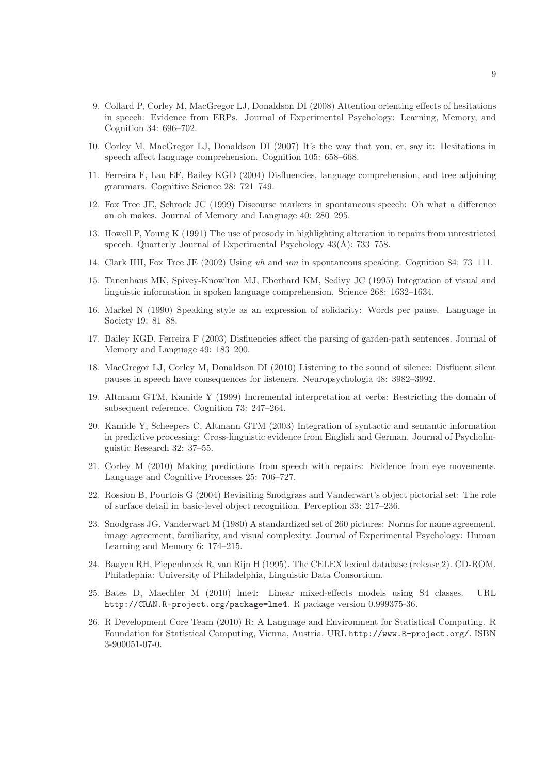- 9. Collard P, Corley M, MacGregor LJ, Donaldson DI (2008) Attention orienting effects of hesitations in speech: Evidence from ERPs. Journal of Experimental Psychology: Learning, Memory, and Cognition 34: 696–702.
- 10. Corley M, MacGregor LJ, Donaldson DI (2007) It's the way that you, er, say it: Hesitations in speech affect language comprehension. Cognition 105: 658–668.
- 11. Ferreira F, Lau EF, Bailey KGD (2004) Disfluencies, language comprehension, and tree adjoining grammars. Cognitive Science 28: 721–749.
- 12. Fox Tree JE, Schrock JC (1999) Discourse markers in spontaneous speech: Oh what a difference an oh makes. Journal of Memory and Language 40: 280–295.
- 13. Howell P, Young K (1991) The use of prosody in highlighting alteration in repairs from unrestricted speech. Quarterly Journal of Experimental Psychology 43(A): 733–758.
- 14. Clark HH, Fox Tree JE (2002) Using uh and um in spontaneous speaking. Cognition 84: 73–111.
- 15. Tanenhaus MK, Spivey-Knowlton MJ, Eberhard KM, Sedivy JC (1995) Integration of visual and linguistic information in spoken language comprehension. Science 268: 1632–1634.
- 16. Markel N (1990) Speaking style as an expression of solidarity: Words per pause. Language in Society 19: 81–88.
- 17. Bailey KGD, Ferreira F (2003) Disfluencies affect the parsing of garden-path sentences. Journal of Memory and Language 49: 183–200.
- 18. MacGregor LJ, Corley M, Donaldson DI (2010) Listening to the sound of silence: Disfluent silent pauses in speech have consequences for listeners. Neuropsychologia 48: 3982–3992.
- 19. Altmann GTM, Kamide Y (1999) Incremental interpretation at verbs: Restricting the domain of subsequent reference. Cognition 73: 247–264.
- 20. Kamide Y, Scheepers C, Altmann GTM (2003) Integration of syntactic and semantic information in predictive processing: Cross-linguistic evidence from English and German. Journal of Psycholinguistic Research 32: 37–55.
- 21. Corley M (2010) Making predictions from speech with repairs: Evidence from eye movements. Language and Cognitive Processes 25: 706–727.
- 22. Rossion B, Pourtois G (2004) Revisiting Snodgrass and Vanderwart's object pictorial set: The role of surface detail in basic-level object recognition. Perception 33: 217–236.
- 23. Snodgrass JG, Vanderwart M (1980) A standardized set of 260 pictures: Norms for name agreement, image agreement, familiarity, and visual complexity. Journal of Experimental Psychology: Human Learning and Memory 6: 174–215.
- 24. Baayen RH, Piepenbrock R, van Rijn H (1995). The CELEX lexical database (release 2). CD-ROM. Philadephia: University of Philadelphia, Linguistic Data Consortium.
- 25. Bates D, Maechler M (2010) lme4: Linear mixed-effects models using S4 classes. URL http://CRAN.R-project.org/package=lme4. R package version 0.999375-36.
- 26. R Development Core Team (2010) R: A Language and Environment for Statistical Computing. R Foundation for Statistical Computing, Vienna, Austria. URL http://www.R-project.org/. ISBN 3-900051-07-0.